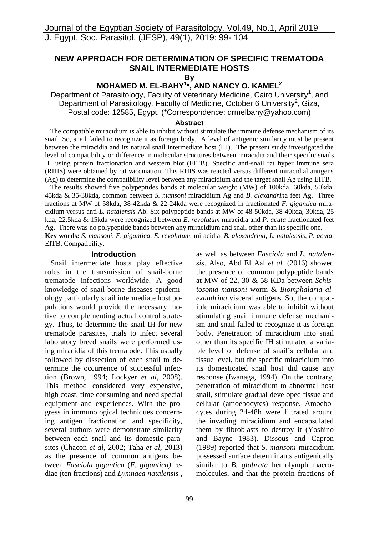# **NEW APPROACH FOR DETERMINATION OF SPECIFIC TREMATODA SNAIL INTERMEDIATE HOSTS**

**By**

# **MOHAMED M. EL-BAHY<sup>1</sup> \*, AND NANCY O. KAMEL<sup>2</sup>**

Department of Parasitology, Faculty of Veterinary Medicine, Cairo University<sup>1</sup>, and Department of Parasitology, Faculty of Medicine, October 6 University<sup>2</sup>, Giza, Postal code: 12585, Egypt. (\*Correspondence: drmelbahy@yahoo.com)

### **Abstract**

 The compatible miracidium is able to inhibit without stimulate the immune defense mechanism of its snail. So, snail failed to recognize it as foreign body. A level of antigenic similarity must be present between the miracidia and its natural snail intermediate host (IH). The present study investigated the level of compatibility or difference in molecular structures between miracidia and their specific snails IH using protein fractionation and western blot (EITB). Specific anti-snail rat hyper immune sera (RHIS) were obtained by rat vaccination. This RHIS was reacted versus different miracidial antigens (Ag) to determine the compatibility level between any miracidium and the target snail Ag using EITB.

 The results showed five polypeptides bands at molecular weight (MW) of 100kda, 60kda, 50kda, 45kda & 35-38kda, common between *S. mansoni* miracidium Ag and *B. alexandrin*a feet Ag. Three fractions at MW of 58kda, 38-42kda & 22-24kda were recognized in fractionated *F. gigantica* miracidium versus anti-*L. natalensis* Ab. Six polypeptide bands at MW of 48-50kda, 38-40kda, 30kda, 25 kda, 22.5kda & 15kda were recognized between *E. revolutum* miracidia and *P. acuta* fractionated feet Ag. There was no polypeptide bands between any miracidium and snail other than its specific one. **Key words:** *S. mansoni*, *F. gigantica*, *E. revolutum,* miracidia, *B. alexandrina, L. natalensis*, *P. acuta*, EITB, Compatibility.

### **Introduction**

 Snail intermediate hosts play effective roles in the transmission of snail-borne trematode infections worldwide. A good knowledge of snail-borne diseases epidemiology particularly snail intermediate host populations would provide the necessary motive to complementing actual control strategy. Thus, to determine the snail IH for new trematode parasites, trials to infect several laboratory breed snails were performed using miracidia of this trematode. This usually followed by dissection of each snail to determine the occurrence of successful infection (Brown, 1994; Lockyer *et al*, 2008). This method considered very expensive, high coast, time consuming and need special equipment and experiences. With the progress in immunological techniques concerning antigen fractionation and specificity, several authors were demonstrate similarity between each snail and its domestic parasites (Chacon *et al*, 2002; Taha *et al*, 2013) as the presence of common antigens between *Fasciola gigantica* (*F. gigantica)* rediae (ten fractions) and *Lymnaea natalensis* ,

as well as between *Fasciola* and *L. natalensis*. Also, [Abd El Aal](http://platform.almanhal.com/GoogleScholar/Details/?ID=2-97465) *et al.* (2016) showed the presence of common polypeptide bands at MW of 22, 30 & 58 KDa between *Schistosoma mansoni* worm & *Biomphalaria alexandrina* visceral antigens. So, the compatible miracidium was able to inhibit without stimulating snail immune defense mechanism and snail failed to recognize it as foreign body. Penetration of miracidium into snail other than its specific IH stimulated a variable level of defense of snail's cellular and tissue level, but the specific miracidium into its domesticated snail host did cause any response (Iwanaga, 1994). On the contrary, penetration of miracidium to abnormal host snail, stimulate gradual developed tissue and cellular (amoebocytes) response. Amoebocytes during 24-48h were filtrated around the invading miracidium and encapsulated them by fibroblasts to destroy it (Yoshino and Bayne 1983). Dissous and Capron (1989) reported that *S. mansoni* miracidium possessed surface determinants antigenically similar to *B. glabrata* hemolymph macromolecules, and that the protein fractions of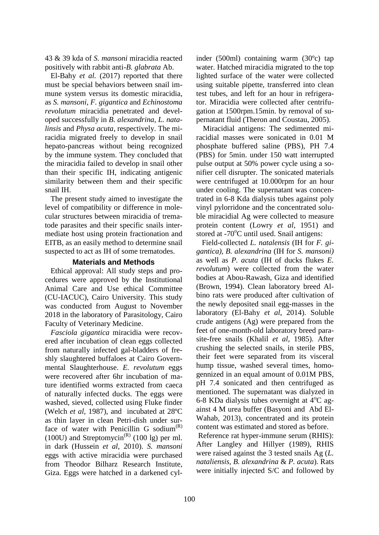43 & 39 kda of *S. mansoni* miracidia reacted positively with rabbit anti-*B. glabrata* Ab.

 El-Bahy *et al.* (2017) reported that there must be special behaviors between snail immune system versus its domestic miracidia, as *S. mansoni*, *F. gigantica* and *Echinostoma revolutum* miracidia penetrated and developed successfully in *B. alexandrina, L. natalinsis* and *Physa acuta*, respectively. The miracidia migrated freely to develop in snail hepato-pancreas without being recognized by the immune system. They concluded that the miracidia failed to develop in snail other than their specific IH, indicating antigenic similarity between them and their specific snail IH.

 The present study aimed to investigate the level of compatibility or difference in molecular structures between miracidia of trematode parasites and their specific snails intermediate host using protein fractionation and EITB, as an easily method to determine snail suspected to act as IH of some trematodes.

# **Materials and Methods**

 Ethical approval: All study steps and procedures were approved by the Institutional Animal Care and Use ethical Committee (CU-IACUC), Cairo University. This study was conducted from August to November 2018 in the laboratory of Parasitology, Cairo Faculty of Veterinary Medicine.

 *Fasciola gigantica* miracidia were recovered after incubation of clean eggs collected from naturally infected gal-bladders of freshly slaughtered buffaloes at Cairo Governmental Slaughterhouse. *E. revolutum* eggs were recovered after 6hr incubation of mature identified worms extracted from caeca of naturally infected ducks. The eggs were washed, sieved, collected using Fluke finder (Welch *et al,* 1987), and incubated at 28ºC as thin layer in clean Petri-dish under surface of water with Penicillin G sodium $<sup>(R)</sup>$ </sup> (100U) and Streptomycin<sup>(R)</sup> (100 lg) per ml. in dark (Hussein *et al*, 2010). *S. mansoni* eggs with active miracidia were purchased from Theodor Bilharz Research Institute, Giza. Eggs were hatched in a darkened cylinder (500ml) containing warm (30ºc) tap water. Hatched miracidia migrated to the top lighted surface of the water were collected using suitable pipette, transferred into clean test tubes, and left for an hour in refrigerator. Miracidia were collected after centrifugation at 1500rpm.15min. by removal of supernatant fluid (Theron and Coustau, 2005).

 Miracidial antigens: The sedimented miracidial masses were sonicated in 0.01 M phosphate buffered saline (PBS), PH 7.4 (PBS) for 5min. under 150 watt interrupted pulse output at 50% power cycle using a sonifier cell disrupter. The sonicated materials were centrifuged at 10.000rpm for an hour under cooling. The supernatant was concentrated in 6-8 Kda dialysis tubes against poly vinyl pylorridone and the concentrated soluble miracidial Ag were collected to measure protein content (Lowry *et al*, 1951) and stored at  $-70^{\circ}$ C until used. Snail antigens:

 Field-collected *L. natalensis* (IH for *F. gigantica), B. alexandrina* (IH for *S. mansoni)*  as well as *P. acuta* (IH of ducks flukes *E. revolutum*) were collected from the water bodies at Abou-Rawash, Giza and identified (Brown, 1994). Clean laboratory breed Albino rats were produced after cultivation of the newly deposited snail egg-masses in the laboratory (El-Bahy *et al*, 2014). Soluble crude antigens (Ag) were prepared from the feet of one-month-old laboratory breed parasite-free snails (Khalil *et al*, 1985). After crushing the selected snails, in sterile PBS, their feet were separated from its visceral hump tissue, washed several times, homogennized in an equal amount of 0.01M PBS, pH 7.4 sonicated and then centrifuged as mentioned. The supernatant was dialyzed in 6-8 KDa dialysis tubes overnight at  $4^{\circ}$ C against 4 M urea buffer [\(Basyoni](https://www.ncbi.nlm.nih.gov/pubmed/?term=Basyoni%20MM%5BAuthor%5D&cauthor=true&cauthor_uid=23682262) and [Abd El-](https://www.ncbi.nlm.nih.gov/pubmed/?term=EL-Wahab%20AA%5BAuthor%5D&cauthor=true&cauthor_uid=23682262)[Wahab,](https://www.ncbi.nlm.nih.gov/pubmed/?term=EL-Wahab%20AA%5BAuthor%5D&cauthor=true&cauthor_uid=23682262) 2013), concentrated and its protein content was estimated and stored as before.

Reference rat hyper-immune serum (RHIS): After Langley and Hillyer (1989), RHIS were raised against the 3 tested snails Ag (*L. nataliensis, B. alexandrina* & *P. acuta*). Rats were initially injected S/C and followed by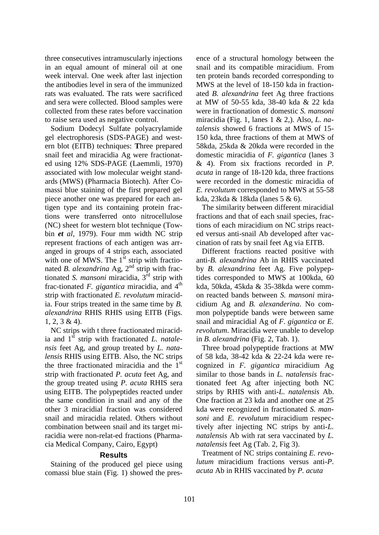three consecutives intramuscularly injections in an equal amount of mineral oil at one week interval. One week after last injection the antibodies level in sera of the immunized rats was evaluated. The rats were sacrificed and sera were collected. Blood samples were collected from these rates before vaccination to raise sera used as negative control.

Sodium Dodecyl Sulfate polyacrylamide gel electrophoresis (SDS-PAGE) and western blot (EITB) techniques: **T**hree prepared snail feet and miracidia Ag were fractionated using 12% SDS-PAGE (Laemmli, 1970) associated with low molecular weight standards (MWS) (Pharmacia Biotech). After Comassi blue staining of the first prepared gel piece another one was prepared for each antigen type and its containing protein fractions were transferred onto nitrocellulose (NC) sheet for western blot technique (Towbin *et al*, 1979). Four mm width NC strip represent fractions of each antigen was arranged in groups of 4 strips each, associated with one of MWS. The  $1^{st}$  strip with fractionated *B. alexandrina* Ag, 2<sup>nd</sup> strip with fractionated *S. mansoni* miracidia, 3<sup>rd</sup> strip with frac-tionated  $F$ . *gigantica* miracidia, and  $4<sup>th</sup>$ strip with fractionated *E. revolutum* miracidia. Four strips treated in the same time by *B. alexandrina* RHIS RHIS using EITB (Figs.  $1, 2, 3 \& 4$ .

 NC strips with t three fractionated miracidia and 1<sup>st</sup> strip with fractionated *L. natalensis* feet Ag, and group treated by *L. natalensis* RHIS using EITB. Also, the NC strips the three fractionated miracidia and the  $1<sup>st</sup>$ strip with fractionated *P. acuta* feet Ag, and the group treated using *P. acuta* RHIS sera using EITB. The polypeptides reacted under the same condition in snail and any of the other 3 miracidial fraction was considered snail and miracidia related. Others without combination between snail and its target miracidia were non-relat-ed fractions (Pharmacia Medical Company, Cairo, Egypt)

## **Results**

Staining of the produced gel piece using comassi blue stain (Fig. 1) showed the presence of a structural homology between the snail and its compatible miracidium. From ten protein bands recorded corresponding to MWS at the level of 18-150 kda in fractionated *B. alexandrina* feet Ag three fractions at MW of 50-55 kda, 38-40 kda & 22 kda were in fractionation of domestic *S. mansoni* miracidia (Fig. 1, lanes 1 & 2,). Also, *L. natalensis* showed 6 fractions at MWS of 15- 150 kda, three fractions of them at MWS of 58kda, 25kda & 20kda were recorded in the domestic miracidia of *F. gigantica* (lanes 3 & 4). From six fractions recorded in *P. acuta* in range of 18-120 kda, three fractions were recorded in the domestic miracidia of *E. revolutum* corresponded to MWS at 55-58 kda, 23kda & 18kda (lanes 5 & 6).

The similarity between different miracidial fractions and that of each snail species, fractions of each miracidium on NC strips reacted versus anti-snail Ab developed after vaccination of rats by snail feet Ag via EITB.

 Different fractions reacted positive with anti-*B. alexandrina* Ab in RHIS vaccinated by *B. alexandrina* feet Ag. Five polypeptides corresponded to MWS at 100kda, 60 kda, 50kda, 45kda & 35-38kda were common reacted bands between *S. mansoni* miracidium Ag and *B. alexanderina*. No common polypeptide bands were between same snail and miracidial Ag of *F. gigantica* or *E. revolutum*. Miracidia were unable to develop in *B. alexandrina* (Fig. 2, Tab. 1).

 Three broad polypeptide fractions at MW of 58 kda, 38-42 kda & 22-24 kda were recognized in *F. gigantica* miracidium Ag similar to those bands in *L. natalensis* fractionated feet Ag after injecting both NC strips by RHIS with anti-*L. natalensis* Ab. One fraction at 23 kda and another one at 25 kda were recognized in fractionated *S. mansoni* and *E. revolutum* miracidium respectively after injecting NC strips by anti-*L. natalensis* Ab with rat sera vaccinated by *L. natalensis* feet Ag (Tab. 2, Fig 3).

Treatment of NC strips containing *E. revolutum* miracidium fractions versus anti-*P*. *acuta* Ab in RHIS vaccinated by *P. acuta*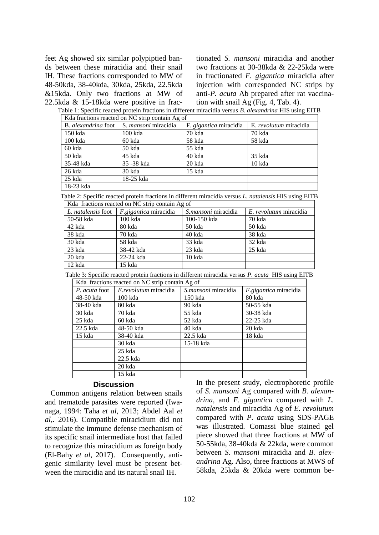feet Ag showed six similar polypiptied bands between these miracidia and their snail IH. These fractions corresponded to MW of 48-50kda, 38-40kda, 30kda, 25kda, 22.5kda &15kda. Only two fractions at MW of 22.5kda & 15-18kda were positive in fractionated *S. mansoni* miracidia and another two fractions at 30-38kda & 22-25kda were in fractionated *F. gigantica* miracidia after injection with corresponded NC strips by anti-*P. acuta* Ab prepared after rat vaccination with snail Ag (Fig. 4, Tab. 4).

Table 1: Specific reacted protein fractions in different miracidia versus *B. alexandrina* HIS using EITB Kda fractions reacted on NC strip contain Ag of

|           | B. <i>alexandrina</i> foot $\vert$ S. <i>mansoni</i> miracidia | F. gigantica miracidia | E. <i>revolutum</i> miracidia |  |  |
|-----------|----------------------------------------------------------------|------------------------|-------------------------------|--|--|
| $150$ kda | $100$ kda                                                      | 70 kda                 | 70 kda                        |  |  |
| $100$ kda | 60 kda                                                         | 58 kda                 | 58 kda                        |  |  |
| 60 kda    | 50 kda                                                         | 55 kda                 |                               |  |  |
| 50 kda    | 45 kda                                                         | 40 kda                 | 35 kda                        |  |  |
| 35-48 kda | 35 - 38 kda                                                    | 20 kda                 | 10 kda                        |  |  |
| 26 kda    | 30 kda                                                         | 15 kda                 |                               |  |  |
| 25 kda    | 18-25 kda                                                      |                        |                               |  |  |
| 18-23 kda |                                                                |                        |                               |  |  |

Table 2: Specific reacted protein fractions in different miracidia versus *L. natalensis* HIS using EITB

| Kda fractions reacted on NC strip contain Ag of |                              |                     |                        |  |  |  |
|-------------------------------------------------|------------------------------|---------------------|------------------------|--|--|--|
| L. natalensis foot                              | <i>F.gigantica</i> miracidia | S.mansoni miracidia | E. revolutum miracidia |  |  |  |
| 50-58 kda                                       | 100 kda                      | 100-150 kda         | 70 kda                 |  |  |  |
| 42 kda                                          | 80 kda                       | 50 kda              | 50 kda                 |  |  |  |
| 38 kda                                          | 70 kda                       | 40 kda              | 38 kda                 |  |  |  |
| 30 kda                                          | 58 kda                       | 33 kda              | 32 kda                 |  |  |  |
| 23 kda                                          | 38-42 kda                    | 23 kda              | 25 kda                 |  |  |  |
| 20 kda                                          | 22-24 kda                    | 10 kda              |                        |  |  |  |
| 12 kda                                          | 15 kda                       |                     |                        |  |  |  |

Table 3: Specific reacted protein fractions in different miracidia versus *P. acuta* HIS using EITB

| Kda fractions reacted on NC strip contain Ag of |                       |                     |                       |  |  |
|-------------------------------------------------|-----------------------|---------------------|-----------------------|--|--|
| P. acuta foot                                   | E.revolutum miracidia | S.mansoni miracidia | F.gigantica miracidia |  |  |
| 48-50 kda                                       | 100 kda               | 150 kda             | 80 kda                |  |  |
| 38-40 kda                                       | 80 kda                | 90 kda              | 50-55 kda             |  |  |
| 30 kda                                          | 70 kda                | 55 kda              | 30-38 kda             |  |  |
| 25 kda                                          | 60 kda                | 52 kda              | 22-25 kda             |  |  |
| 22.5 kda                                        | 48-50 kda             | 40 kda              | 20 kda                |  |  |
| 15 kda                                          | 38-40 kda             | 22.5 kda            | 18 kda                |  |  |
|                                                 | 30 kda                | 15-18 kda           |                       |  |  |
|                                                 | $25$ kda              |                     |                       |  |  |
|                                                 | 22.5 kda              |                     |                       |  |  |
|                                                 | 20 kda                |                     |                       |  |  |
|                                                 | 15 kda                |                     |                       |  |  |

### **Discussion**

 Common antigens relation between snails and trematode parasites were reported (Iwanaga, 1994: Taha *et al,* 2013; Abdel Aal *et al,.* 2016). Compatible miracidium did not stimulate the immune defense mechanism of its specific snail intermediate host that failed to recognize this miracidium as foreign body (El-Bahy *et al,* 2017). Consequently, antigenic similarity level must be present between the miracidia and its natural snail IH.

In the present study, electrophoretic profile of *S. mansoni* Ag compared with *B. alexandrina*, and *F. gigantica* compared with *L. natalensis* and miracidia Ag of *E. revolutum* compared with *P. acuta* using SDS-PAGE was illustrated. Comassi blue stained gel piece showed that three fractions at MW of 50-55kda, 38-40kda & 22kda, were common between *S. mansoni* miracidia and *B. alexandrina* Ag. Also, three fractions at MWS of 58kda, 25kda & 20kda were common be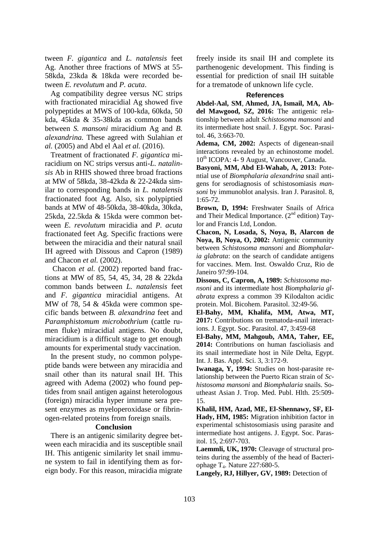tween *F. gigantica* and *L. natalensis* feet Ag. Another three fractions of MWS at 55- 58kda, 23kda & 18kda were recorded between *E. revolutum* and *P. acuta*.

 Ag compatibility degree versus NC strips with fractionated miracidial Ag showed five polypeptides at MWS of 100-kda, 60kda, 50 kda, 45kda & 35-38kda as common bands between *S. mansoni* miracidium Ag and *B. alexandrina.* These agreed with Sulahian *et al.* (2005) and [Abd el Aal](http://platform.almanhal.com/GoogleScholar/Details/?ID=2-97465) *et al.* (2016).

Treatment of fractionated *F. gigantica* miracidium on NC strips versus anti-*L. natalinsis* Ab in RHIS showed three broad fractions at MW of 58kda, 38-42kda & 22-24kda similar to corresponding bands in *L. natalensis* fractionated foot Ag. Also, six polypiptied bands at MW of 48-50kda, 38-40kda, 30kda, 25kda, 22.5kda & 15kda were common between *E. revolutum* miracidia and *P. acuta* fractionated feet Ag. Specific fractions were between the miracidia and their natural snail IH agreed with Dissous and Capron (1989) and Chacon *et al.* (2002).

Chacon *et al.* (2002) reported band fractions at MW of 85, 54, 45, 34, 28 & 22kda common bands between *L. natalensis* feet and *F. gigantica* miracidial antigens. At MW of 78, 54 & 45kda were common specific bands between *B. alexandrina* feet and *Paramphistomum microbothrium* (cattle rumen fluke) miracidial antigens. No doubt, miracidium is a difficult stage to get enough amounts for experimental study vaccination.

 In the present study, no common polypeptide bands were between any miracidia and snail other than its natural snail IH. This agreed with Adema (2002) who found peptides from snail antigen against heterologous (foreign) miracidia hyper immune sera present enzymes as myeloperoxidase or fibrinogen-related proteins from foreign snails*.*

## **Conclusion**

 There is an antigenic similarity degree between each miracidia and its susceptible snail IH. This antigenic similarity let snail immune system to fail in identifying them as foreign body. For this reason, miracidia migrate freely inside its snail IH and complete its parthenogenic development. This finding is essential for prediction of snail IH suitable for a trematode of unknown life cycle.

### **References**

**Abdel-Aal, SM**, **[Ahmed, JA,](http://platform.almanhal.com/GoogleScholar/Details/?ID=2-97465) Ismail, MA, [Ab](http://platform.almanhal.com/GoogleScholar/Details/?ID=2-97465)[del Mawgood, SZ,](http://platform.almanhal.com/GoogleScholar/Details/?ID=2-97465) 2016:** The antigenic relationship between adult *Schistosoma mansoni* and its intermediate host snail. J. Egypt. Soc. Parasitol. 46, 3:663-70.

**Adema, CM, 2002:** Aspects of digenean-snail interactions revealed by an echinostome model. 10<sup>th</sup> ICOPA: 4-9 August, Vancouver, Canada.

**[Basyoni,](https://www.ncbi.nlm.nih.gov/pubmed/?term=Basyoni%20MM%5BAuthor%5D&cauthor=true&cauthor_uid=23682262) MM, [Abd El-Wahab,](https://www.ncbi.nlm.nih.gov/pubmed/?term=EL-Wahab%20AA%5BAuthor%5D&cauthor=true&cauthor_uid=23682262) A, 2013:** Potential use of *Biomphalaria alexandrina* snail antigens for serodiagnosis of schistosomiasis *mansoni* by immunoblot analysis. [Iran J. Parasitol.](https://www.ncbi.nlm.nih.gov/pmc/articles/PMC3655242/) 8, 1:65-72.

**Brown, D, 1994:** Freshwater Snails of Africa and Their Medical Importance.  $(2^{nd}$  edition) Taylor and Francis Ltd, London.

**Chacon, N, Losada, S, Noya, B, Alarcon de Noya, B, Noya, O, 2002:** Antigenic community between *Schistosoma mansoni* and *Biomphalaria glabrata*: on the search of candidate antigens for vaccines. Mem. Inst. Oswaldo Cruz, Rio de Janeiro 97:99-104.

**Dissous, C, Capron, A, 1989:** *Schistosoma mansoni* and its intermediate host *Biomphalaria glabrata* express a common 39 Kilodalton acidic protein. Mol. Bicohem. Parasitol. 32:49-56.

**El-Bahy, MM, Khalifa, MM, Atwa, MT, 2017:** Contributions on trematoda-snail interactions. J. Egypt. Soc. Parasitol. 47, 3:459-68

**El-Bahy, MM, Mahgoub, AMA, Taher, EE, 2014:** Contributions on human fascioliasis and its snail intermediate host in Nile Delta, Egypt. Int. J. Bas. Appl. Sci. 3, 3:172-9.

**Iwanaga, Y, 1994:** Studies on host-parasite relationship between the Puerto Rican strain of *Schistosoma mansoni* and *Biomphalaria* snails. Southeast Asian J. Trop. Med. Publ. Hlth. 25:509- 15.

**Khalil, HM, Azad, ME, El-Shennawy, SF, El-Hady, HM, 1985:** Migration inhibition factor in experimental schistosomiasis using parasite and intermediate host antigens. J. Egypt. Soc. Parasitol. 15, 2:697-703.

Laemmli, UK, 1970: Cleavage of structural proteins during the assembly of the head of Bacteriophage  $T_4$ . Nature 227:680-5.

Langely, RJ, Hillyer, GV, 1989: Detection of